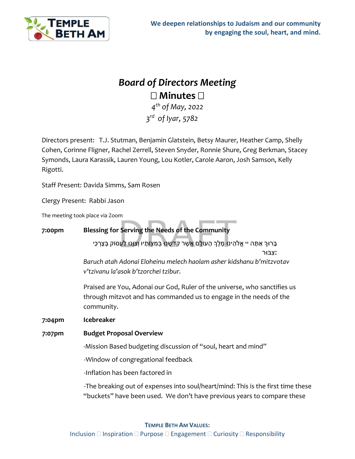

## *Board of Directors Meeting* **Minutes**

*4th of May, 2022 3rd of Iyar, 5782*

Directors present: T.J. Stutman, Benjamin Glatstein, Betsy Maurer, Heather Camp, Shelly Cohen, Corinne Fligner, Rachel Zerrell, Steven Snyder, Ronnie Shure, Greg Berkman, Stacey Symonds, Laura Karassik, Lauren Young, Lou Kotler, Carole Aaron, Josh Samson, Kelly Rigotti.

Staff Present: Davida Simms, Sam Rosen

Clergy Present: Rabbi Jason

The meeting took place via Zoom

## m<br>· Serving the Needs of the Community<br>הינוּ מֶלֶךְ הָעוֹלָם אֲשֶׁר קִדְשָׁנוּ בְּמִצְוֹתָיו וְצֵוֶּנוּ לַעֲנ **7:00pm Blessing for Serving the Needs of the Community** ָבָּרוּךְ אַתָּה יי אֱלֹהֵינוּ מֶלֶךְ הָעוֹלָם אֲשֶׁר קִדְשָׁנוּ בְּמִצְוֹתָיו וְצִוֶּנוּ לַעֲסוֹק בְּצָרְכֵי **׃**צִ בּוּר *Baruch atah Adonai Eloheinu melech haolam asher kidshanu b'mitzvotav v'tzivanu la'asok b'tzorchei tzibur.* Praised are You, Adonai our God, Ruler of the universe, who sanctifies us through mitzvot and has commanded us to engage in the needs of the community. **7:04pm Icebreaker 7:07pm Budget Proposal Overview** -Mission Based budgeting discussion of "soul, heart and mind" -Window of congregational feedback -Inflation has been factored in -The breaking out of expenses into soul/heart/mind: This is the first time these "buckets" have been used. We don't have previous years to compare these

## **TEMPLE BETH AM VALUES:**